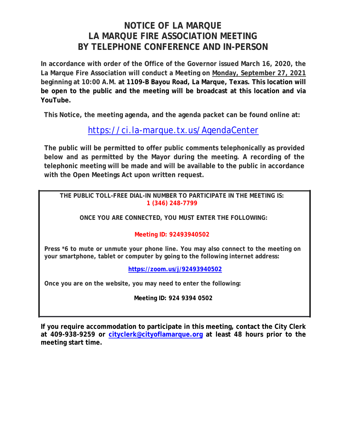## **NOTICE OF LA MARQUE LA MARQUE FIRE ASSOCIATION MEETING BY TELEPHONE CONFERENCE AND IN-PERSON**

**In accordance with order of the Office of the Governor issued March 16, 2020, the La Marque Fire Association will conduct a Meeting on Monday, September 27, 2021 beginning at 10:00 A.M. at 1109-B Bayou Road, La Marque, Texas. This location will be open to the public and the meeting will be broadcast at this location and via YouTube.** 

**This Notice, the meeting agenda, and the agenda packet can be found online at:**

# https://ci.la-marque.tx.us/AgendaCenter

**The public will be permitted to offer public comments telephonically as provided below and as permitted by the Mayor during the meeting. A recording of the telephonic meeting will be made and will be available to the public in accordance with the Open Meetings Act upon written request.**

**THE PUBLIC TOLL-FREE DIAL-IN NUMBER TO PARTICIPATE IN THE MEETING IS: 1 (346) 248-7799** 

**ONCE YOU ARE CONNECTED, YOU MUST ENTER THE FOLLOWING:** 

#### **Meeting ID: 92493940502**

**Press \*6 to mute or unmute your phone line. You may also connect to the meeting on your smartphone, tablet or computer by going to the following internet address:**

**https://zoom.us/j/92493940502**

**Once you are on the website, you may need to enter the following:** 

**Meeting ID: 924 9394 0502** 

**If you require accommodation to participate in this meeting, contact the City Clerk at 409-938-9259 or cityclerk@cityoflamarque.org at least 48 hours prior to the meeting start time.**